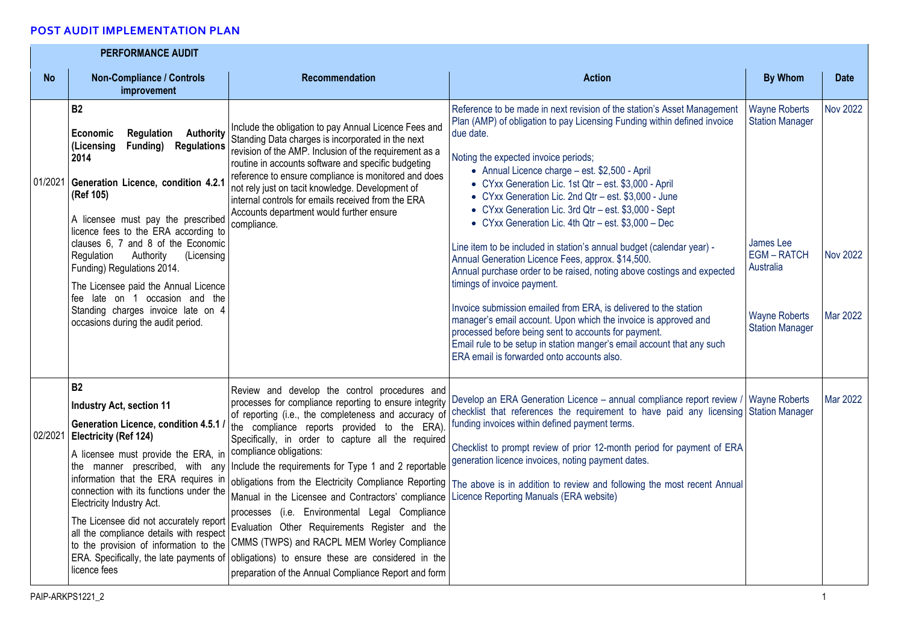## **POST AUDIT IMPLEMENTATION PLAN**

|           | <b>PERFORMANCE AUDIT</b>                                                                                                                                                                                                                                                                                                                                                                                                                                                                                                     |                                                                                                                                                                                                                                                                                                                                                                                                                                                                                                                                                                                                                                                                                                                                                                          |                                                                                                                                                                                                                                                                                                                                                                                                                                                                                                                                                                                                                                                                                                                                                                                                                                                                                                                                                                                                                                                          |                                                                                                                                                |                                                |
|-----------|------------------------------------------------------------------------------------------------------------------------------------------------------------------------------------------------------------------------------------------------------------------------------------------------------------------------------------------------------------------------------------------------------------------------------------------------------------------------------------------------------------------------------|--------------------------------------------------------------------------------------------------------------------------------------------------------------------------------------------------------------------------------------------------------------------------------------------------------------------------------------------------------------------------------------------------------------------------------------------------------------------------------------------------------------------------------------------------------------------------------------------------------------------------------------------------------------------------------------------------------------------------------------------------------------------------|----------------------------------------------------------------------------------------------------------------------------------------------------------------------------------------------------------------------------------------------------------------------------------------------------------------------------------------------------------------------------------------------------------------------------------------------------------------------------------------------------------------------------------------------------------------------------------------------------------------------------------------------------------------------------------------------------------------------------------------------------------------------------------------------------------------------------------------------------------------------------------------------------------------------------------------------------------------------------------------------------------------------------------------------------------|------------------------------------------------------------------------------------------------------------------------------------------------|------------------------------------------------|
| <b>No</b> | <b>Non-Compliance / Controls</b><br>improvement                                                                                                                                                                                                                                                                                                                                                                                                                                                                              | <b>Recommendation</b>                                                                                                                                                                                                                                                                                                                                                                                                                                                                                                                                                                                                                                                                                                                                                    | <b>Action</b>                                                                                                                                                                                                                                                                                                                                                                                                                                                                                                                                                                                                                                                                                                                                                                                                                                                                                                                                                                                                                                            | <b>By Whom</b>                                                                                                                                 | <b>Date</b>                                    |
|           | <b>B2</b><br>Economic<br>Regulation<br><b>Authority</b><br><b>Regulations</b><br>(Licensing<br>Funding)<br>2014<br>01/2021 Generation Licence, condition 4.2.1<br>(Ref 105)<br>A licensee must pay the prescribed<br>licence fees to the ERA according to<br>clauses 6, 7 and 8 of the Economic<br>Regulation<br>Authority<br>(Licensing<br>Funding) Regulations 2014.<br>The Licensee paid the Annual Licence<br>fee late on 1 occasion and the<br>Standing charges invoice late on 4<br>occasions during the audit period. | Include the obligation to pay Annual Licence Fees and<br>Standing Data charges is incorporated in the next<br>revision of the AMP. Inclusion of the requirement as a<br>routine in accounts software and specific budgeting<br>reference to ensure compliance is monitored and does<br>not rely just on tacit knowledge. Development of<br>internal controls for emails received from the ERA<br>Accounts department would further ensure<br>compliance.                                                                                                                                                                                                                                                                                                                 | Reference to be made in next revision of the station's Asset Management<br>Plan (AMP) of obligation to pay Licensing Funding within defined invoice<br>due date.<br>Noting the expected invoice periods;<br>• Annual Licence charge - est. \$2,500 - April<br>• CYxx Generation Lic. 1st Qtr - est. \$3,000 - April<br>• CYxx Generation Lic. 2nd Qtr - est. \$3,000 - June<br>• CYxx Generation Lic. 3rd Qtr - est. \$3,000 - Sept<br>• CYxx Generation Lic. 4th Qtr - est. \$3,000 - Dec<br>Line item to be included in station's annual budget (calendar year) -<br>Annual Generation Licence Fees, approx. \$14,500.<br>Annual purchase order to be raised, noting above costings and expected<br>timings of invoice payment.<br>Invoice submission emailed from ERA, is delivered to the station<br>manager's email account. Upon which the invoice is approved and<br>processed before being sent to accounts for payment.<br>Email rule to be setup in station manger's email account that any such<br>ERA email is forwarded onto accounts also. | <b>Wayne Roberts</b><br><b>Station Manager</b><br>James Lee<br><b>EGM-RATCH</b><br>Australia<br><b>Wayne Roberts</b><br><b>Station Manager</b> | <b>Nov 2022</b><br><b>Nov 2022</b><br>Mar 2022 |
| 02/2021   | <b>B2</b><br><b>Industry Act, section 11</b><br>Generation Licence, condition 4.5.1 /<br>Electricity (Ref 124)<br>A licensee must provide the ERA, in<br>information that the ERA requires in<br>connection with its functions under the<br>Electricity Industry Act.<br>The Licensee did not accurately report<br>all the compliance details with respect<br>to the provision of information to the<br>ERA. Specifically, the late payments of<br>licence fees                                                              | Review and develop the control procedures and<br>processes for compliance reporting to ensure integrity<br>of reporting (i.e., the completeness and accuracy of<br>the compliance reports provided to the ERA).<br>Specifically, in order to capture all the required<br>compliance obligations:<br>the manner prescribed, with any Include the requirements for Type 1 and 2 reportable<br>obligations from the Electricity Compliance Reporting<br>Manual in the Licensee and Contractors' compliance<br>processes (i.e. Environmental Legal Compliance<br>Evaluation Other Requirements Register and the<br>CMMS (TWPS) and RACPL MEM Worley Compliance<br>obligations) to ensure these are considered in the<br>preparation of the Annual Compliance Report and form | Develop an ERA Generation Licence - annual compliance report review / Wayne Roberts<br>checklist that references the requirement to have paid any licensing Station Manager<br>funding invoices within defined payment terms.<br>Checklist to prompt review of prior 12-month period for payment of ERA<br>generation licence invoices, noting payment dates.<br>The above is in addition to review and following the most recent Annual<br>Licence Reporting Manuals (ERA website)                                                                                                                                                                                                                                                                                                                                                                                                                                                                                                                                                                      |                                                                                                                                                | Mar 2022                                       |